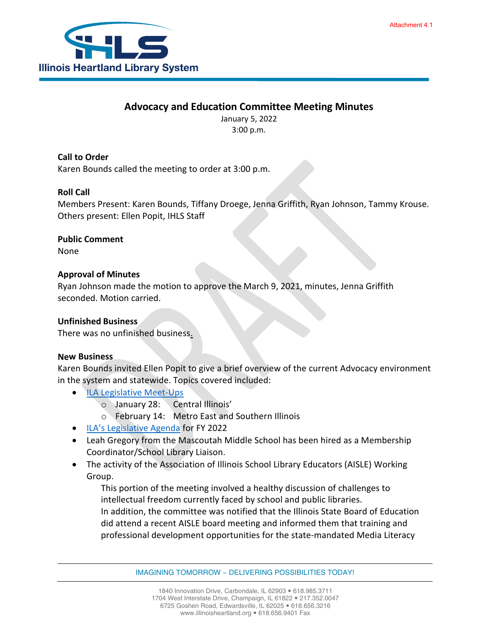### **Advocacy and Education Committee Meeting Minutes**

January 5, 2022 3:00 p.m.

**Call to Order** Karen Bounds called the meeting to order at 3:00 p.m.

#### **Roll Call**

Members Present: Karen Bounds, Tiffany Droege, Jenna Griffith, Ryan Johnson, Tammy Krouse. Others present: Ellen Popit, IHLS Staff

**Public Comment**

None

#### **Approval of Minutes**

Ryan Johnson made the motion to approve the March 9, 2021, minutes, Jenna Griffith seconded. Motion carried.

#### **Unfinished Business**

There was no unfinished business.

#### **New Business**

Karen Bounds invited Ellen Popit to give a brief overview of the current Advocacy environment in the system and statewide. Topics covered included:

- [ILA Legislative Meet-Ups](https://www.ila.org/events/legislative-meet-ups)
	- o January 28: Central Illinois'
	- o February 14: Metro East and Southern Illinois
- [ILA's Legislative Agenda](https://www.ila.org/advocacy/legislative-issues/illinois-legislative-issues) for FY 2022
- Leah Gregory from the Mascoutah Middle School has been hired as a Membership Coordinator/School Library Liaison.
- The activity of the Association of Illinois School Library Educators (AISLE) Working Group.

This portion of the meeting involved a healthy discussion of challenges to intellectual freedom currently faced by school and public libraries. In addition, the committee was notified that the Illinois State Board of Education did attend a recent AISLE board meeting and informed them that training and professional development opportunities for the state-mandated Media Literacy